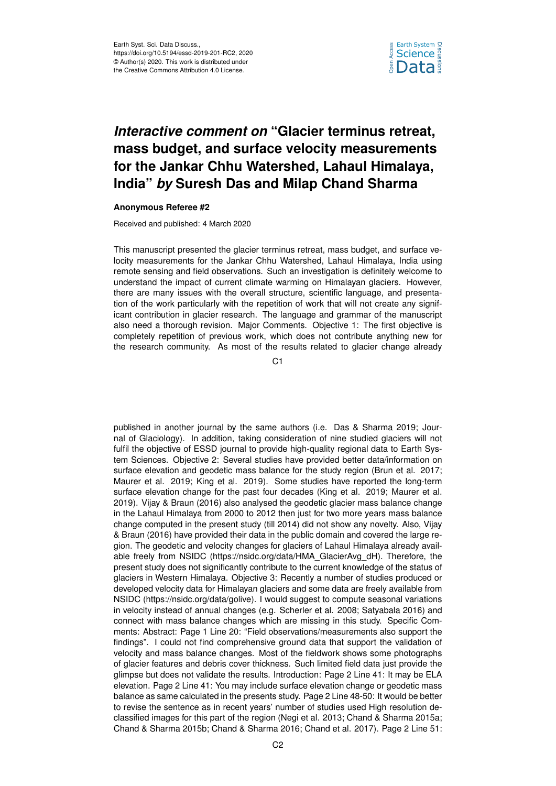

## *Interactive comment on* **"Glacier terminus retreat, mass budget, and surface velocity measurements for the Jankar Chhu Watershed, Lahaul Himalaya, India"** *by* **Suresh Das and Milap Chand Sharma**

## **Anonymous Referee #2**

Received and published: 4 March 2020

This manuscript presented the glacier terminus retreat, mass budget, and surface velocity measurements for the Jankar Chhu Watershed, Lahaul Himalaya, India using remote sensing and field observations. Such an investigation is definitely welcome to understand the impact of current climate warming on Himalayan glaciers. However, there are many issues with the overall structure, scientific language, and presentation of the work particularly with the repetition of work that will not create any significant contribution in glacier research. The language and grammar of the manuscript also need a thorough revision. Major Comments. Objective 1: The first objective is completely repetition of previous work, which does not contribute anything new for the research community. As most of the results related to glacier change already

C1

published in another journal by the same authors (i.e. Das & Sharma 2019; Journal of Glaciology). In addition, taking consideration of nine studied glaciers will not fulfil the objective of ESSD journal to provide high-quality regional data to Earth System Sciences. Objective 2: Several studies have provided better data/information on surface elevation and geodetic mass balance for the study region (Brun et al. 2017; Maurer et al. 2019; King et al. 2019). Some studies have reported the long-term surface elevation change for the past four decades (King et al. 2019; Maurer et al. 2019). Vijay & Braun (2016) also analysed the geodetic glacier mass balance change in the Lahaul Himalaya from 2000 to 2012 then just for two more years mass balance change computed in the present study (till 2014) did not show any novelty. Also, Vijay & Braun (2016) have provided their data in the public domain and covered the large region. The geodetic and velocity changes for glaciers of Lahaul Himalaya already available freely from NSIDC (https://nsidc.org/data/HMA\_GlacierAvg\_dH). Therefore, the present study does not significantly contribute to the current knowledge of the status of glaciers in Western Himalaya. Objective 3: Recently a number of studies produced or developed velocity data for Himalayan glaciers and some data are freely available from NSIDC (https://nsidc.org/data/golive). I would suggest to compute seasonal variations in velocity instead of annual changes (e.g. Scherler et al. 2008; Satyabala 2016) and connect with mass balance changes which are missing in this study. Specific Comments: Abstract: Page 1 Line 20: "Field observations/measurements also support the findings". I could not find comprehensive ground data that support the validation of velocity and mass balance changes. Most of the fieldwork shows some photographs of glacier features and debris cover thickness. Such limited field data just provide the glimpse but does not validate the results. Introduction: Page 2 Line 41: It may be ELA elevation. Page 2 Line 41: You may include surface elevation change or geodetic mass balance as same calculated in the presents study. Page 2 Line 48-50: It would be better to revise the sentence as in recent years' number of studies used High resolution declassified images for this part of the region (Negi et al. 2013; Chand & Sharma 2015a; Chand & Sharma 2015b; Chand & Sharma 2016; Chand et al. 2017). Page 2 Line 51: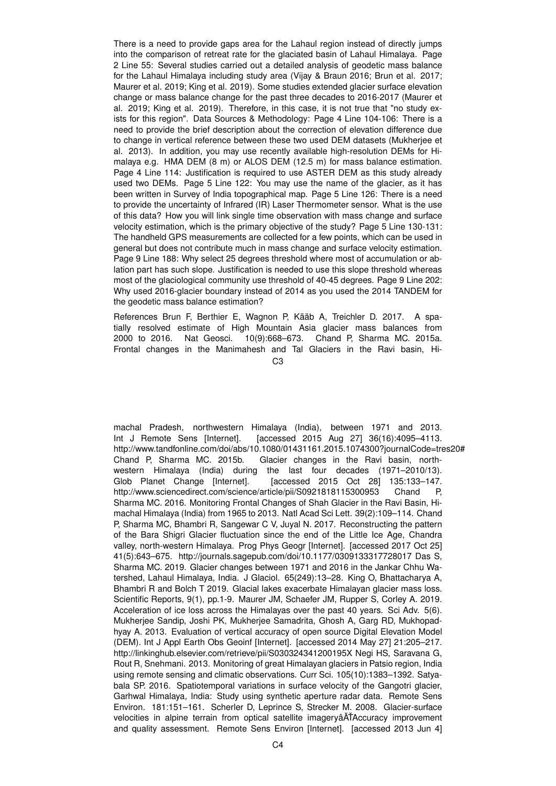There is a need to provide gaps area for the Lahaul region instead of directly jumps into the comparison of retreat rate for the glaciated basin of Lahaul Himalaya. Page 2 Line 55: Several studies carried out a detailed analysis of geodetic mass balance for the Lahaul Himalaya including study area (Vijay & Braun 2016; Brun et al. 2017; Maurer et al. 2019; King et al. 2019). Some studies extended glacier surface elevation change or mass balance change for the past three decades to 2016-2017 (Maurer et al. 2019; King et al. 2019). Therefore, in this case, it is not true that "no study exists for this region". Data Sources & Methodology: Page 4 Line 104-106: There is a need to provide the brief description about the correction of elevation difference due to change in vertical reference between these two used DEM datasets (Mukherjee et al. 2013). In addition, you may use recently available high-resolution DEMs for Himalaya e.g. HMA DEM (8 m) or ALOS DEM (12.5 m) for mass balance estimation. Page 4 Line 114: Justification is required to use ASTER DEM as this study already used two DEMs. Page 5 Line 122: You may use the name of the glacier, as it has been written in Survey of India topographical map. Page 5 Line 126: There is a need to provide the uncertainty of Infrared (IR) Laser Thermometer sensor. What is the use of this data? How you will link single time observation with mass change and surface velocity estimation, which is the primary objective of the study? Page 5 Line 130-131: The handheld GPS measurements are collected for a few points, which can be used in general but does not contribute much in mass change and surface velocity estimation. Page 9 Line 188: Why select 25 degrees threshold where most of accumulation or ablation part has such slope. Justification is needed to use this slope threshold whereas most of the glaciological community use threshold of 40-45 degrees. Page 9 Line 202: Why used 2016-glacier boundary instead of 2014 as you used the 2014 TANDEM for the geodetic mass balance estimation?

References Brun F, Berthier E, Wagnon P, Kääb A, Treichler D. 2017. A spatially resolved estimate of High Mountain Asia glacier mass balances from 2000 to 2016. Nat Geosci. 10(9):668–673. Chand P, Sharma MC. 2015a. Frontal changes in the Manimahesh and Tal Glaciers in the Ravi basin, Hi-

 $C<sub>3</sub>$ 

machal Pradesh, northwestern Himalaya (India), between 1971 and 2013. Int J Remote Sens [Internet]. [accessed 2015 Aug 27] 36(16):4095–4113. http://www.tandfonline.com/doi/abs/10.1080/01431161.2015.1074300?journalCode=tres20# Chand P, Sharma MC. 2015b. Glacier changes in the Ravi basin, northwestern Himalaya (India) during the last four decades (1971–2010/13). Glob Planet Change [Internet]. [accessed 2015 Oct 28] 135:133-147. http://www.sciencedirect.com/science/article/pii/S0921818115300953 Chand P, Sharma MC. 2016. Monitoring Frontal Changes of Shah Glacier in the Ravi Basin, Himachal Himalaya (India) from 1965 to 2013. Natl Acad Sci Lett. 39(2):109–114. Chand P, Sharma MC, Bhambri R, Sangewar C V, Juyal N. 2017. Reconstructing the pattern of the Bara Shigri Glacier fluctuation since the end of the Little Ice Age, Chandra valley, north-western Himalaya. Prog Phys Geogr [Internet]. [accessed 2017 Oct 25] 41(5):643–675. http://journals.sagepub.com/doi/10.1177/0309133317728017 Das S, Sharma MC. 2019. Glacier changes between 1971 and 2016 in the Jankar Chhu Watershed, Lahaul Himalaya, India. J Glaciol. 65(249):13–28. King O, Bhattacharya A, Bhambri R and Bolch T 2019. Glacial lakes exacerbate Himalayan glacier mass loss. Scientific Reports, 9(1), pp.1-9. Maurer JM, Schaefer JM, Rupper S, Corley A. 2019. Acceleration of ice loss across the Himalayas over the past 40 years. Sci Adv. 5(6). Mukherjee Sandip, Joshi PK, Mukherjee Samadrita, Ghosh A, Garg RD, Mukhopadhyay A. 2013. Evaluation of vertical accuracy of open source Digital Elevation Model (DEM). Int J Appl Earth Obs Geoinf [Internet]. [accessed 2014 May 27] 21:205–217. http://linkinghub.elsevier.com/retrieve/pii/S030324341200195X Negi HS, Saravana G, Rout R, Snehmani. 2013. Monitoring of great Himalayan glaciers in Patsio region, India using remote sensing and climatic observations. Curr Sci. 105(10):1383–1392. Satyabala SP. 2016. Spatiotemporal variations in surface velocity of the Gangotri glacier, Garhwal Himalaya, India: Study using synthetic aperture radar data. Remote Sens Environ. 181:151–161. Scherler D, Leprince S, Strecker M. 2008. Glacier-surface velocities in alpine terrain from optical satellite imageryâATAccuracy improvement and quality assessment. Remote Sens Environ [Internet]. [accessed 2013 Jun 4]